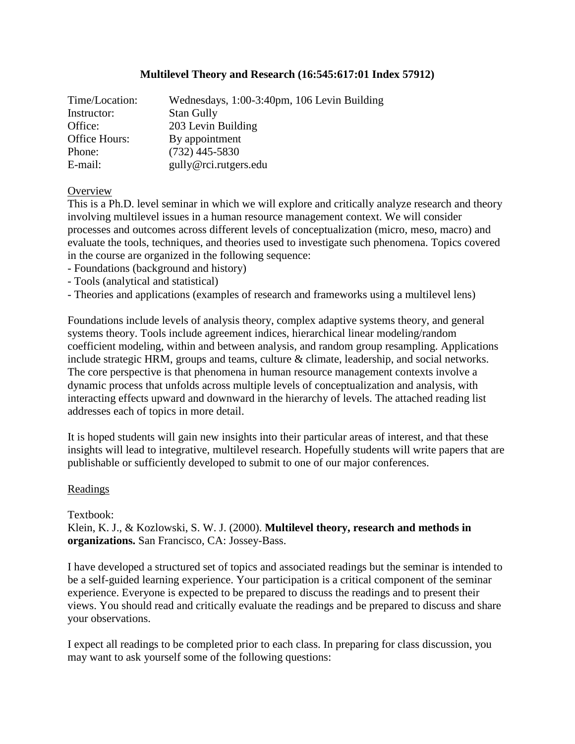# **Multilevel Theory and Research (16:545:617:01 Index 57912)**

| Time/Location: | Wednesdays, 1:00-3:40pm, 106 Levin Building |  |
|----------------|---------------------------------------------|--|
| Instructor:    | <b>Stan Gully</b>                           |  |
| Office:        | 203 Levin Building                          |  |
| Office Hours:  | By appointment                              |  |
| Phone:         | $(732)$ 445-5830                            |  |
| E-mail:        | gully@rci.rutgers.edu                       |  |

### **Overview**

This is a Ph.D. level seminar in which we will explore and critically analyze research and theory involving multilevel issues in a human resource management context. We will consider processes and outcomes across different levels of conceptualization (micro, meso, macro) and evaluate the tools, techniques, and theories used to investigate such phenomena. Topics covered in the course are organized in the following sequence:

- Foundations (background and history)
- Tools (analytical and statistical)

- Theories and applications (examples of research and frameworks using a multilevel lens)

Foundations include levels of analysis theory, complex adaptive systems theory, and general systems theory. Tools include agreement indices, hierarchical linear modeling/random coefficient modeling, within and between analysis, and random group resampling. Applications include strategic HRM, groups and teams, culture & climate, leadership, and social networks. The core perspective is that phenomena in human resource management contexts involve a dynamic process that unfolds across multiple levels of conceptualization and analysis, with interacting effects upward and downward in the hierarchy of levels. The attached reading list addresses each of topics in more detail.

It is hoped students will gain new insights into their particular areas of interest, and that these insights will lead to integrative, multilevel research. Hopefully students will write papers that are publishable or sufficiently developed to submit to one of our major conferences.

### Readings

Textbook:

Klein, K. J., & Kozlowski, S. W. J. (2000). **Multilevel theory, research and methods in organizations.** San Francisco, CA: Jossey-Bass.

I have developed a structured set of topics and associated readings but the seminar is intended to be a self-guided learning experience. Your participation is a critical component of the seminar experience. Everyone is expected to be prepared to discuss the readings and to present their views. You should read and critically evaluate the readings and be prepared to discuss and share your observations.

I expect all readings to be completed prior to each class. In preparing for class discussion, you may want to ask yourself some of the following questions: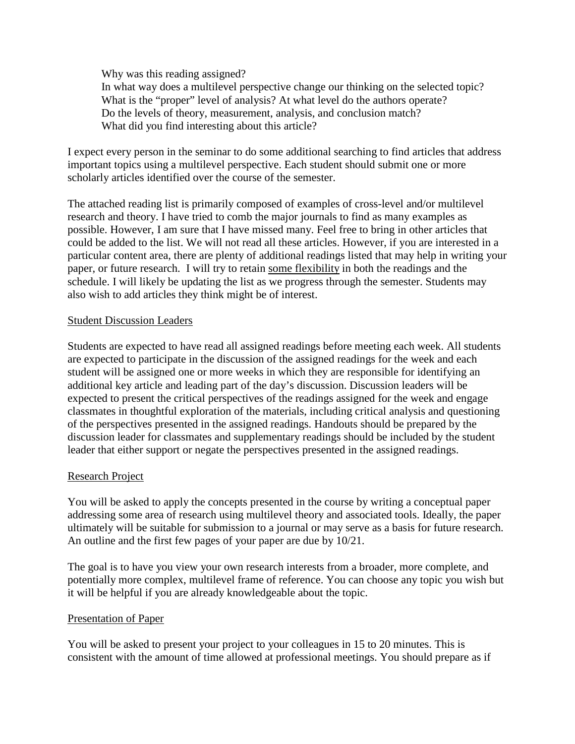Why was this reading assigned?

In what way does a multilevel perspective change our thinking on the selected topic? What is the "proper" level of analysis? At what level do the authors operate? Do the levels of theory, measurement, analysis, and conclusion match? What did you find interesting about this article?

I expect every person in the seminar to do some additional searching to find articles that address important topics using a multilevel perspective. Each student should submit one or more scholarly articles identified over the course of the semester.

The attached reading list is primarily composed of examples of cross-level and/or multilevel research and theory. I have tried to comb the major journals to find as many examples as possible. However, I am sure that I have missed many. Feel free to bring in other articles that could be added to the list. We will not read all these articles. However, if you are interested in a particular content area, there are plenty of additional readings listed that may help in writing your paper, or future research. I will try to retain some flexibility in both the readings and the schedule. I will likely be updating the list as we progress through the semester. Students may also wish to add articles they think might be of interest.

## Student Discussion Leaders

Students are expected to have read all assigned readings before meeting each week. All students are expected to participate in the discussion of the assigned readings for the week and each student will be assigned one or more weeks in which they are responsible for identifying an additional key article and leading part of the day's discussion. Discussion leaders will be expected to present the critical perspectives of the readings assigned for the week and engage classmates in thoughtful exploration of the materials, including critical analysis and questioning of the perspectives presented in the assigned readings. Handouts should be prepared by the discussion leader for classmates and supplementary readings should be included by the student leader that either support or negate the perspectives presented in the assigned readings.

# Research Project

You will be asked to apply the concepts presented in the course by writing a conceptual paper addressing some area of research using multilevel theory and associated tools. Ideally, the paper ultimately will be suitable for submission to a journal or may serve as a basis for future research. An outline and the first few pages of your paper are due by 10/21.

The goal is to have you view your own research interests from a broader, more complete, and potentially more complex, multilevel frame of reference. You can choose any topic you wish but it will be helpful if you are already knowledgeable about the topic.

### Presentation of Paper

You will be asked to present your project to your colleagues in 15 to 20 minutes. This is consistent with the amount of time allowed at professional meetings. You should prepare as if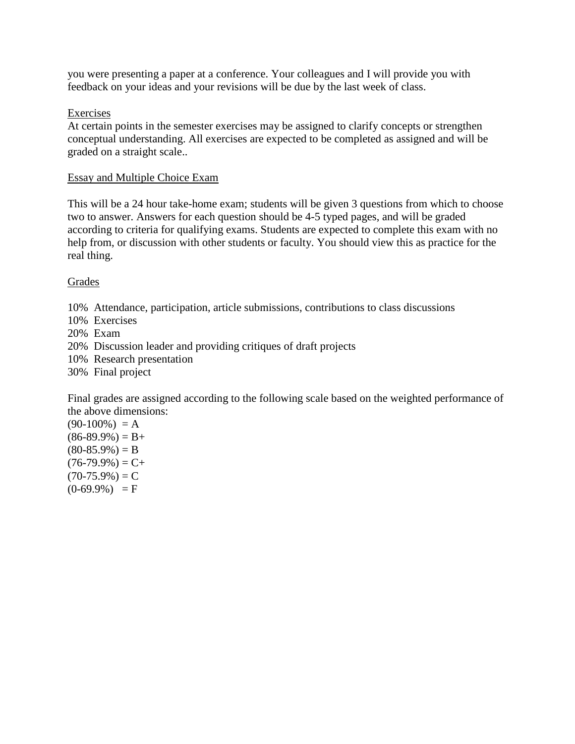you were presenting a paper at a conference. Your colleagues and I will provide you with feedback on your ideas and your revisions will be due by the last week of class.

## Exercises

At certain points in the semester exercises may be assigned to clarify concepts or strengthen conceptual understanding. All exercises are expected to be completed as assigned and will be graded on a straight scale..

### Essay and Multiple Choice Exam

This will be a 24 hour take-home exam; students will be given 3 questions from which to choose two to answer. Answers for each question should be 4-5 typed pages, and will be graded according to criteria for qualifying exams. Students are expected to complete this exam with no help from, or discussion with other students or faculty. You should view this as practice for the real thing.

# Grades

- 10% Attendance, participation, article submissions, contributions to class discussions
- 10% Exercises
- 20% Exam
- 20% Discussion leader and providing critiques of draft projects
- 10% Research presentation
- 30% Final project

Final grades are assigned according to the following scale based on the weighted performance of the above dimensions:

 $(90-100\%) = A$  $(86-89.9\%) = B+$  $(80-85.9\%) = B$  $(76-79.9\%) = C+$  $(70-75.9\%) = C$  $(0-69.9\%) = F$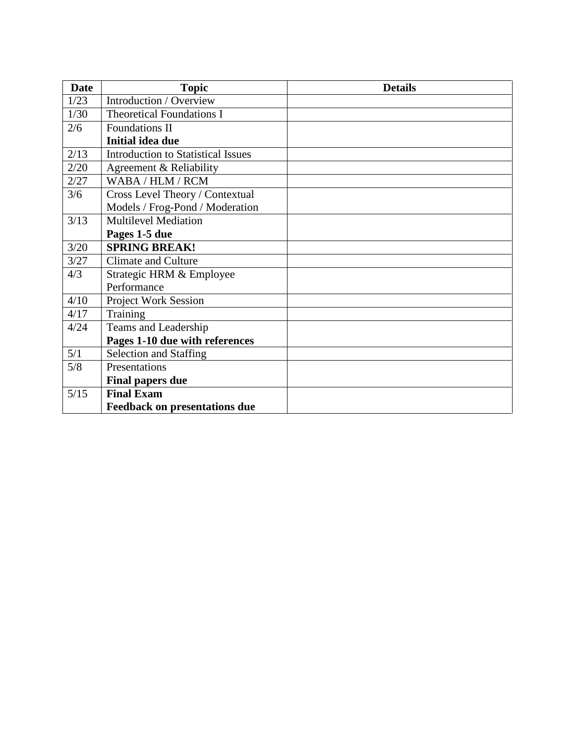| <b>Date</b> | <b>Topic</b>                              | <b>Details</b> |
|-------------|-------------------------------------------|----------------|
| 1/23        | Introduction / Overview                   |                |
| 1/30        | <b>Theoretical Foundations I</b>          |                |
| 2/6         | Foundations II                            |                |
|             | <b>Initial idea due</b>                   |                |
| 2/13        | <b>Introduction to Statistical Issues</b> |                |
| 2/20        | Agreement & Reliability                   |                |
| 2/27        | WABA / HLM / RCM                          |                |
| 3/6         | Cross Level Theory / Contextual           |                |
|             | Models / Frog-Pond / Moderation           |                |
| 3/13        | <b>Multilevel Mediation</b>               |                |
|             | Pages 1-5 due                             |                |
| 3/20        | <b>SPRING BREAK!</b>                      |                |
| 3/27        | <b>Climate and Culture</b>                |                |
| 4/3         | Strategic HRM & Employee                  |                |
|             | Performance                               |                |
| 4/10        | <b>Project Work Session</b>               |                |
| 4/17        | Training                                  |                |
| 4/24        | Teams and Leadership                      |                |
|             | Pages 1-10 due with references            |                |
| 5/1         | Selection and Staffing                    |                |
| 5/8         | Presentations                             |                |
|             | <b>Final papers due</b>                   |                |
| 5/15        | <b>Final Exam</b>                         |                |
|             | <b>Feedback on presentations due</b>      |                |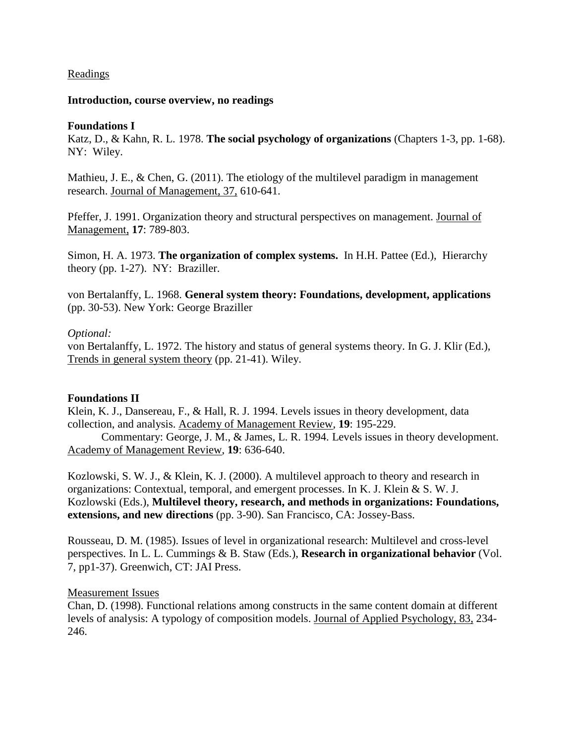### Readings

#### **Introduction, course overview, no readings**

#### **Foundations I**

Katz, D., & Kahn, R. L. 1978. **The social psychology of organizations** (Chapters 1-3, pp. 1-68). NY: Wiley.

Mathieu, J. E., & Chen, G. (2011). The etiology of the multilevel paradigm in management research. Journal of Management, 37, 610-641.

Pfeffer, J. 1991. Organization theory and structural perspectives on management. Journal of Management, **17**: 789-803.

Simon, H. A. 1973. **The organization of complex systems.** In H.H. Pattee (Ed.), Hierarchy theory (pp. 1-27). NY: Braziller.

von Bertalanffy, L. 1968. **General system theory: Foundations, development, applications** (pp. 30-53). New York: George Braziller

### *Optional:*

von Bertalanffy, L. 1972. The history and status of general systems theory. In G. J. Klir (Ed.), Trends in general system theory (pp. 21-41). Wiley.

### **Foundations II**

Klein, K. J., Dansereau, F., & Hall, R. J. 1994. Levels issues in theory development, data collection, and analysis. Academy of Management Review, **19**: 195-229.

Commentary: George, J. M., & James, L. R. 1994. Levels issues in theory development. Academy of Management Review, **19**: 636-640.

Kozlowski, S. W. J., & Klein, K. J. (2000). A multilevel approach to theory and research in organizations: Contextual, temporal, and emergent processes. In K. J. Klein & S. W. J. Kozlowski (Eds.), **Multilevel theory, research, and methods in organizations: Foundations, extensions, and new directions** (pp. 3-90). San Francisco, CA: Jossey-Bass.

Rousseau, D. M. (1985). Issues of level in organizational research: Multilevel and cross-level perspectives. In L. L. Cummings & B. Staw (Eds.), **Research in organizational behavior** (Vol. 7, pp1-37). Greenwich, CT: JAI Press.

#### Measurement Issues

Chan, D. (1998). Functional relations among constructs in the same content domain at different levels of analysis: A typology of composition models. Journal of Applied Psychology, 83, 234- 246.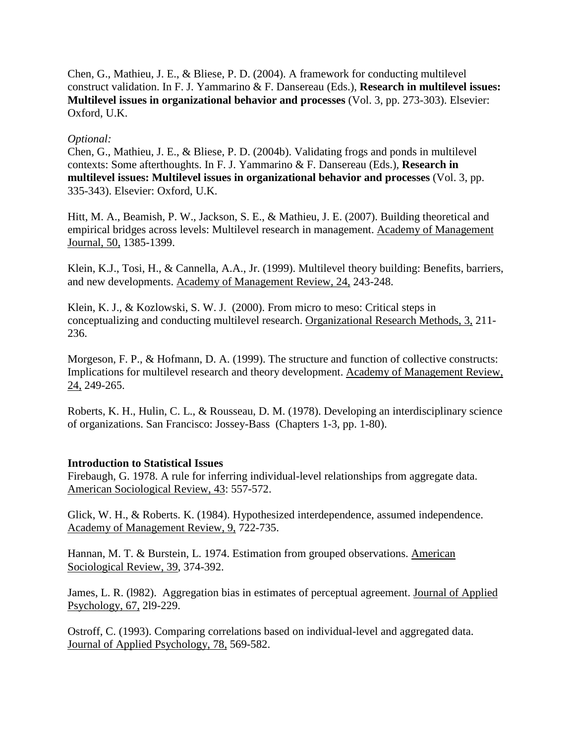Chen, G., Mathieu, J. E., & Bliese, P. D. (2004). A framework for conducting multilevel construct validation. In F. J. Yammarino & F. Dansereau (Eds.), **Research in multilevel issues: Multilevel issues in organizational behavior and processes** (Vol. 3, pp. 273-303). Elsevier: Oxford, U.K.

## *Optional:*

Chen, G., Mathieu, J. E., & Bliese, P. D. (2004b). Validating frogs and ponds in multilevel contexts: Some afterthoughts. In F. J. Yammarino & F. Dansereau (Eds.), **Research in multilevel issues: Multilevel issues in organizational behavior and processes** (Vol. 3, pp. 335-343). Elsevier: Oxford, U.K.

Hitt, M. A., Beamish, P. W., Jackson, S. E., & Mathieu, J. E. (2007). Building theoretical and empirical bridges across levels: Multilevel research in management. Academy of Management Journal, 50, 1385-1399.

Klein, K.J., Tosi, H., & Cannella, A.A., Jr. (1999). Multilevel theory building: Benefits, barriers, and new developments. Academy of Management Review, 24, 243-248.

Klein, K. J., & Kozlowski, S. W. J. (2000). From micro to meso: Critical steps in conceptualizing and conducting multilevel research. Organizational Research Methods, 3, 211- 236.

Morgeson, F. P., & Hofmann, D. A. (1999). The structure and function of collective constructs: Implications for multilevel research and theory development. Academy of Management Review, 24, 249-265.

Roberts, K. H., Hulin, C. L., & Rousseau, D. M. (1978). Developing an interdisciplinary science of organizations. San Francisco: Jossey-Bass (Chapters 1-3, pp. 1-80).

### **Introduction to Statistical Issues**

Firebaugh, G. 1978. A rule for inferring individual-level relationships from aggregate data. American Sociological Review, 43: 557-572.

Glick, W. H., & Roberts. K. (1984). Hypothesized interdependence, assumed independence. Academy of Management Review, 9, 722-735.

Hannan, M. T. & Burstein, L. 1974. Estimation from grouped observations. American Sociological Review, 39, 374-392.

James, L. R. (l982). Aggregation bias in estimates of perceptual agreement. Journal of Applied Psychology, 67, 2l9-229.

Ostroff, C. (1993). Comparing correlations based on individual-level and aggregated data. Journal of Applied Psychology, 78, 569-582.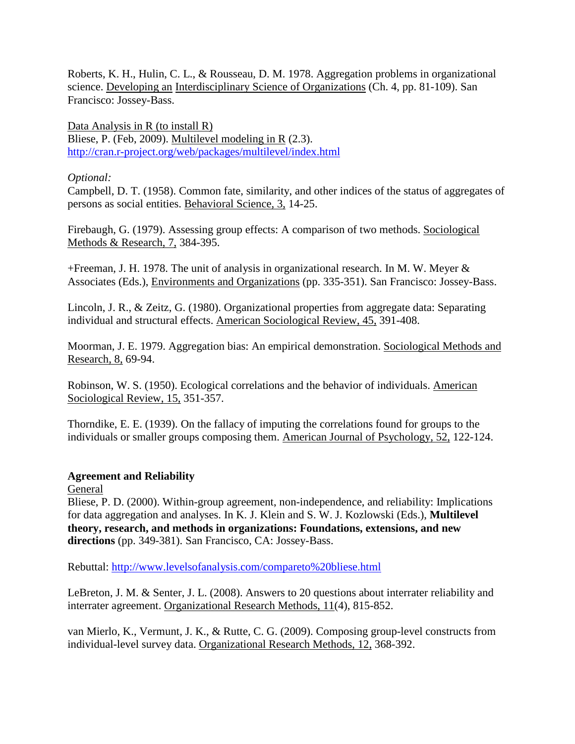Roberts, K. H., Hulin, C. L., & Rousseau, D. M. 1978. Aggregation problems in organizational science. Developing an Interdisciplinary Science of Organizations (Ch. 4, pp. 81-109). San Francisco: Jossey-Bass.

Data Analysis in R (to install R) Bliese, P. (Feb, 2009). Multilevel modeling in R (2.3). <http://cran.r-project.org/web/packages/multilevel/index.html>

## *Optional:*

Campbell, D. T. (1958). Common fate, similarity, and other indices of the status of aggregates of persons as social entities. Behavioral Science, 3, 14-25.

Firebaugh, G. (1979). Assessing group effects: A comparison of two methods. Sociological Methods & Research, 7, 384-395.

+Freeman, J. H. 1978. The unit of analysis in organizational research. In M. W. Meyer & Associates (Eds.), Environments and Organizations (pp. 335-351). San Francisco: Jossey-Bass.

Lincoln, J. R., & Zeitz, G. (1980). Organizational properties from aggregate data: Separating individual and structural effects. American Sociological Review, 45, 391-408.

Moorman, J. E. 1979. Aggregation bias: An empirical demonstration. Sociological Methods and Research, 8, 69-94.

Robinson, W. S. (1950). Ecological correlations and the behavior of individuals. American Sociological Review, 15, 351-357.

Thorndike, E. E. (1939). On the fallacy of imputing the correlations found for groups to the individuals or smaller groups composing them. American Journal of Psychology, 52, 122-124.

# **Agreement and Reliability**

General

Bliese, P. D. (2000). Within-group agreement, non-independence, and reliability: Implications for data aggregation and analyses. In K. J. Klein and S. W. J. Kozlowski (Eds.), **Multilevel theory, research, and methods in organizations: Foundations, extensions, and new directions** (pp. 349-381). San Francisco, CA: Jossey-Bass.

Rebuttal:<http://www.levelsofanalysis.com/compareto%20bliese.html>

LeBreton, J. M. & Senter, J. L. (2008). Answers to 20 questions about interrater reliability and interrater agreement. Organizational Research Methods, 11(4), 815-852.

van Mierlo, K., Vermunt, J. K., & Rutte, C. G. (2009). Composing group-level constructs from individual-level survey data. Organizational Research Methods, 12, 368-392.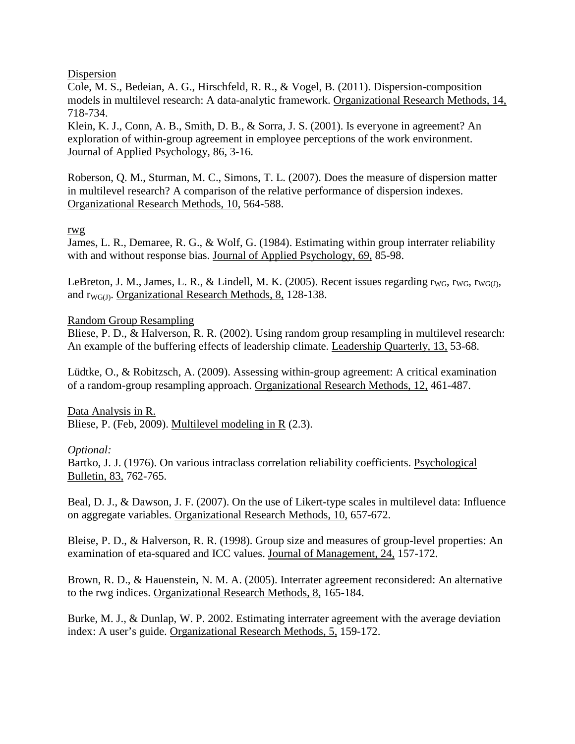### **Dispersion**

Cole, M. S., Bedeian, A. G., Hirschfeld, R. R., & Vogel, B. (2011). Dispersion-composition models in multilevel research: A data-analytic framework. Organizational Research Methods, 14, 718-734.

Klein, K. J., Conn, A. B., Smith, D. B., & Sorra, J. S. (2001). Is everyone in agreement? An exploration of within-group agreement in employee perceptions of the work environment. Journal of Applied Psychology, 86, 3-16.

Roberson, Q. M., Sturman, M. C., Simons, T. L. (2007). Does the measure of dispersion matter in multilevel research? A comparison of the relative performance of dispersion indexes. Organizational Research Methods, 10, 564-588.

### rwg

James, L. R., Demaree, R. G., & Wolf, G. (1984). Estimating within group interrater reliability with and without response bias. Journal of Applied Psychology, 69, 85-98.

LeBreton, J. M., James, L. R., & Lindell, M. K. (2005). Recent issues regarding  $r_{\text{WG}}$ ,  $r_{\text{WG}}$ ,  $r_{\text{WG}}$ , and  $r_{\text{WGG}}$ . Organizational Research Methods, 8, 128-138.

Random Group Resampling

Bliese, P. D., & Halverson, R. R. (2002). Using random group resampling in multilevel research: An example of the buffering effects of leadership climate. Leadership Quarterly, 13, 53-68.

Lüdtke, O., & Robitzsch, A. (2009). Assessing within-group agreement: A critical examination of a random-group resampling approach. Organizational Research Methods, 12, 461-487.

Data Analysis in R. Bliese, P. (Feb, 2009). Multilevel modeling in R (2.3).

### *Optional:*

Bartko, J. J. (1976). On various intraclass correlation reliability coefficients. Psychological Bulletin, 83, 762-765.

Beal, D. J., & Dawson, J. F. (2007). On the use of Likert-type scales in multilevel data: Influence on aggregate variables. Organizational Research Methods, 10, 657-672.

Bleise, P. D., & Halverson, R. R. (1998). Group size and measures of group-level properties: An examination of eta-squared and ICC values. Journal of Management, 24, 157-172.

Brown, R. D., & Hauenstein, N. M. A. (2005). Interrater agreement reconsidered: An alternative to the rwg indices. Organizational Research Methods, 8, 165-184.

Burke, M. J., & Dunlap, W. P. 2002. Estimating interrater agreement with the average deviation index: A user's guide. Organizational Research Methods, 5, 159-172.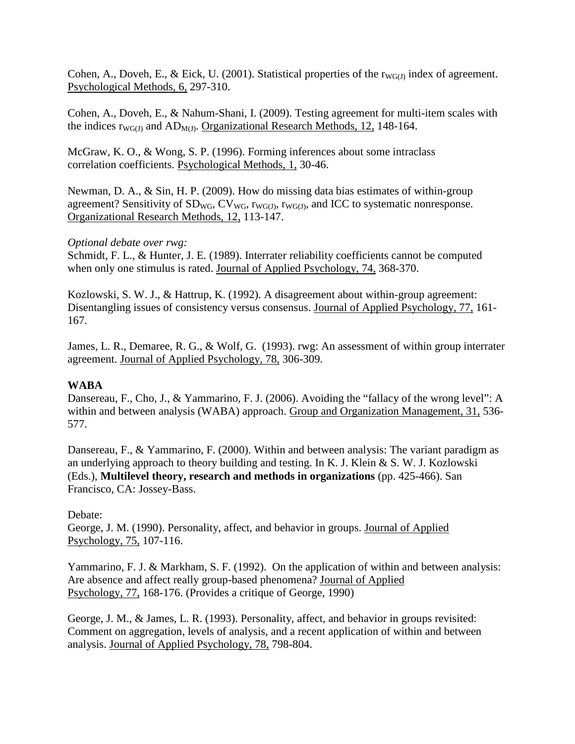Cohen, A., Doveh, E., & Eick, U. (2001). Statistical properties of the  $rw_{G(1)}$  index of agreement. Psychological Methods, 6, 297-310.

Cohen, A., Doveh, E., & Nahum-Shani, I. (2009). Testing agreement for multi-item scales with the indices  $r_{WG(J)}$  and  $AD_{M(J)}$ . Organizational Research Methods, 12, 148-164.

McGraw, K. O., & Wong, S. P. (1996). Forming inferences about some intraclass correlation coefficients. Psychological Methods, 1, 30-46.

Newman, D. A., & Sin, H. P. (2009). How do missing data bias estimates of within-group agreement? Sensitivity of  $SD_{WG}$ ,  $CV_{WG}$ ,  $r_{WGG}$ ,  $r_{WGG}$ , and ICC to systematic nonresponse. Organizational Research Methods, 12, 113-147.

# *Optional debate over rwg:*

Schmidt, F. L., & Hunter, J. E. (1989). Interrater reliability coefficients cannot be computed when only one stimulus is rated. Journal of Applied Psychology, 74, 368-370.

Kozlowski, S. W. J., & Hattrup, K. (1992). A disagreement about within-group agreement: Disentangling issues of consistency versus consensus. Journal of Applied Psychology, 77, 161- 167.

James, L. R., Demaree, R. G., & Wolf, G. (1993). rwg: An assessment of within group interrater agreement. Journal of Applied Psychology, 78, 306-309.

# **WABA**

Dansereau, F., Cho, J., & Yammarino, F. J. (2006). Avoiding the "fallacy of the wrong level": A within and between analysis (WABA) approach. Group and Organization Management, 31, 536- 577.

Dansereau, F., & Yammarino, F. (2000). Within and between analysis: The variant paradigm as an underlying approach to theory building and testing. In K. J. Klein & S. W. J. Kozlowski (Eds.), **Multilevel theory, research and methods in organizations** (pp. 425-466). San Francisco, CA: Jossey-Bass.

# Debate:

George, J. M. (1990). Personality, affect, and behavior in groups. Journal of Applied Psychology, 75, 107-116.

Yammarino, F. J. & Markham, S. F. (1992). On the application of within and between analysis: Are absence and affect really group-based phenomena? Journal of Applied Psychology, 77, 168-176. (Provides a critique of George, 1990)

George, J. M., & James, L. R. (1993). Personality, affect, and behavior in groups revisited: Comment on aggregation, levels of analysis, and a recent application of within and between analysis. Journal of Applied Psychology, 78, 798-804.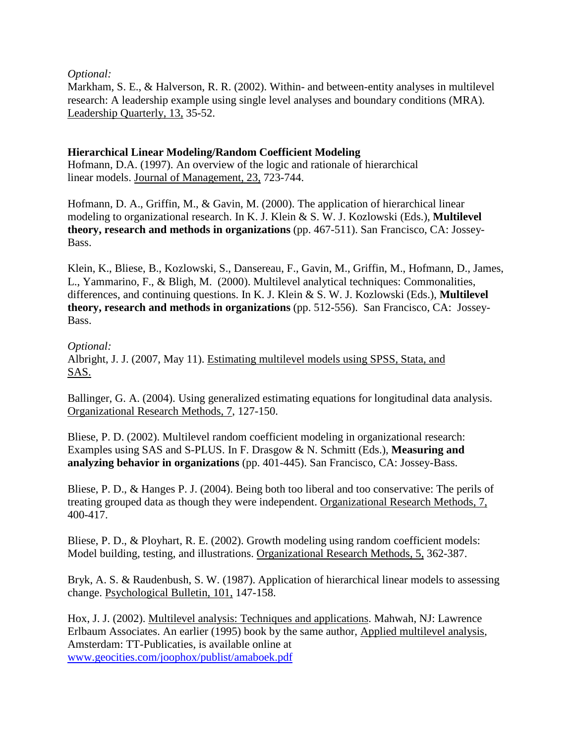*Optional:*

Markham, S. E., & Halverson, R. R. (2002). Within- and between-entity analyses in multilevel research: A leadership example using single level analyses and boundary conditions (MRA). Leadership Quarterly, 13, 35-52.

# **Hierarchical Linear Modeling/Random Coefficient Modeling**

Hofmann, D.A. (1997). An overview of the logic and rationale of hierarchical linear models. Journal of Management, 23, 723-744.

Hofmann, D. A., Griffin, M., & Gavin, M. (2000). The application of hierarchical linear modeling to organizational research. In K. J. Klein & S. W. J. Kozlowski (Eds.), **Multilevel theory, research and methods in organizations** (pp. 467-511). San Francisco, CA: Jossey-Bass.

Klein, K., Bliese, B., Kozlowski, S., Dansereau, F., Gavin, M., Griffin, M., Hofmann, D., James, L., Yammarino, F., & Bligh, M. (2000). Multilevel analytical techniques: Commonalities, differences, and continuing questions. In K. J. Klein & S. W. J. Kozlowski (Eds.), **Multilevel theory, research and methods in organizations** (pp. 512-556). San Francisco, CA: Jossey-Bass.

*Optional:*

Albright, J. J. (2007, May 11). Estimating multilevel models using SPSS, Stata, and SAS.

Ballinger, G. A. (2004). Using generalized estimating equations for longitudinal data analysis. Organizational Research Methods, 7, 127-150.

Bliese, P. D. (2002). Multilevel random coefficient modeling in organizational research: Examples using SAS and S-PLUS. In F. Drasgow & N. Schmitt (Eds.), **Measuring and analyzing behavior in organizations** (pp. 401-445). San Francisco, CA: Jossey-Bass.

Bliese, P. D., & Hanges P. J. (2004). Being both too liberal and too conservative: The perils of treating grouped data as though they were independent. Organizational Research Methods, 7, 400-417.

Bliese, P. D., & Ployhart, R. E. (2002). Growth modeling using random coefficient models: Model building, testing, and illustrations. Organizational Research Methods, 5, 362-387.

Bryk, A. S. & Raudenbush, S. W. (1987). Application of hierarchical linear models to assessing change. Psychological Bulletin, 101, 147-158.

Hox, J. J. (2002). Multilevel analysis: Techniques and applications. Mahwah, NJ: Lawrence Erlbaum Associates. An earlier (1995) book by the same author, Applied multilevel analysis, Amsterdam: TT-Publicaties, is available online at [www.geocities.com/joophox/publist/amaboek.pdf](http://www.geocities.com/joophox/publist/amaboek.pdf)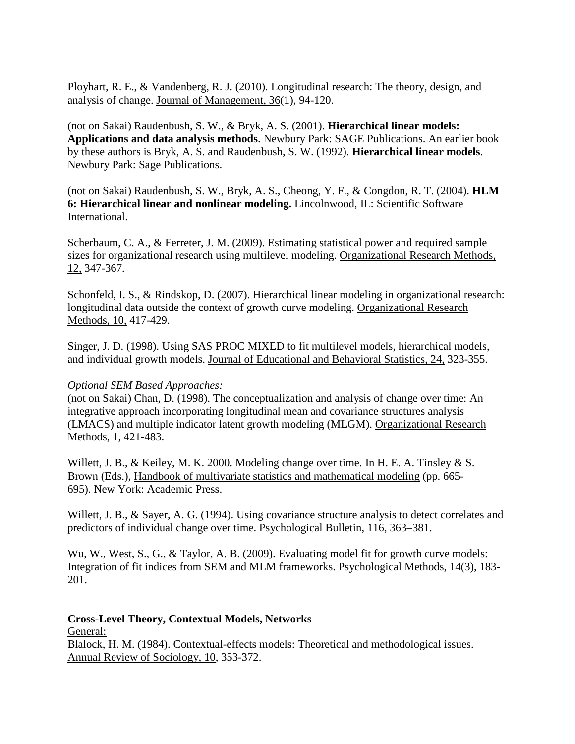Ployhart, R. E., & Vandenberg, R. J. (2010). Longitudinal research: The theory, design, and analysis of change. Journal of Management, 36(1), 94-120.

(not on Sakai) Raudenbush, S. W., & Bryk, A. S. (2001). **Hierarchical linear models: Applications and data analysis methods**. Newbury Park: SAGE Publications. An earlier book by these authors is Bryk, A. S. and Raudenbush, S. W. (1992). **Hierarchical linear models**. Newbury Park: Sage Publications.

(not on Sakai) Raudenbush, S. W., Bryk, A. S., Cheong, Y. F., & Congdon, R. T. (2004). **HLM 6: Hierarchical linear and nonlinear modeling.** Lincolnwood, IL: Scientific Software International.

Scherbaum, C. A., & Ferreter, J. M. (2009). Estimating statistical power and required sample sizes for organizational research using multilevel modeling. Organizational Research Methods, 12, 347-367.

Schonfeld, I. S., & Rindskop, D. (2007). Hierarchical linear modeling in organizational research: longitudinal data outside the context of growth curve modeling. Organizational Research Methods, 10, 417-429.

Singer, J. D. (1998). Using SAS PROC MIXED to fit multilevel models, hierarchical models, and individual growth models. Journal of Educational and Behavioral Statistics, 24, 323-355.

### *Optional SEM Based Approaches:*

(not on Sakai) Chan, D. (1998). The conceptualization and analysis of change over time: An integrative approach incorporating longitudinal mean and covariance structures analysis (LMACS) and multiple indicator latent growth modeling (MLGM). Organizational Research Methods, 1, 421-483.

Willett, J. B., & Keiley, M. K. 2000. Modeling change over time. In H. E. A. Tinsley & S. Brown (Eds.), Handbook of multivariate statistics and mathematical modeling (pp. 665- 695). New York: Academic Press.

Willett, J. B., & Sayer, A. G. (1994). Using covariance structure analysis to detect correlates and predictors of individual change over time. Psychological Bulletin, 116, 363–381.

Wu, W., West, S., G., & Taylor, A. B. (2009). Evaluating model fit for growth curve models: Integration of fit indices from SEM and MLM frameworks. Psychological Methods, 14(3), 183- 201.

**Cross-Level Theory, Contextual Models, Networks** General: Blalock, H. M. (1984). Contextual-effects models: Theoretical and methodological issues. Annual Review of Sociology, 10, 353-372.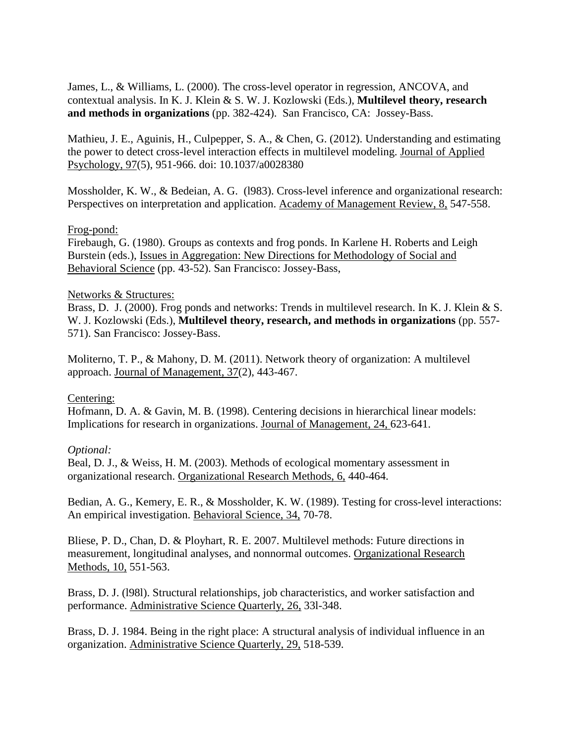James, L., & Williams, L. (2000). The cross-level operator in regression, ANCOVA, and contextual analysis. In K. J. Klein & S. W. J. Kozlowski (Eds.), **Multilevel theory, research and methods in organizations** (pp. 382-424). San Francisco, CA: Jossey-Bass.

Mathieu, J. E., Aguinis, H., Culpepper, S. A., & Chen, G. (2012). Understanding and estimating the power to detect cross-level interaction effects in multilevel modeling. Journal of Applied Psychology, 97(5), 951-966. doi: 10.1037/a0028380

Mossholder, K. W., & Bedeian, A. G. (l983). Cross-level inference and organizational research: Perspectives on interpretation and application. Academy of Management Review, 8, 547-558.

### Frog-pond:

Firebaugh, G. (1980). Groups as contexts and frog ponds. In Karlene H. Roberts and Leigh Burstein (eds.), Issues in Aggregation: New Directions for Methodology of Social and Behavioral Science (pp. 43-52). San Francisco: Jossey-Bass,

#### Networks & Structures:

Brass, D. J. (2000). Frog ponds and networks: Trends in multilevel research. In K. J. Klein & S. W. J. Kozlowski (Eds.), **Multilevel theory, research, and methods in organizations** (pp. 557- 571). San Francisco: Jossey-Bass.

Moliterno, T. P., & Mahony, D. M. (2011). Network theory of organization: A multilevel approach. Journal of Management, 37(2), 443-467.

### Centering:

Hofmann, D. A. & Gavin, M. B. (1998). Centering decisions in hierarchical linear models: Implications for research in organizations. Journal of Management, 24, 623-641.

### *Optional:*

Beal, D. J., & Weiss, H. M. (2003). Methods of ecological momentary assessment in organizational research. Organizational Research Methods, 6, 440-464.

Bedian, A. G., Kemery, E. R., & Mossholder, K. W. (1989). Testing for cross-level interactions: An empirical investigation. Behavioral Science, 34, 70-78.

Bliese, P. D., Chan, D. & Ployhart, R. E. 2007. Multilevel methods: Future directions in measurement, longitudinal analyses, and nonnormal outcomes. Organizational Research Methods, 10, 551-563.

Brass, D. J. (l98l). Structural relationships, job characteristics, and worker satisfaction and performance. Administrative Science Quarterly, 26, 33l-348.

Brass, D. J. 1984. Being in the right place: A structural analysis of individual influence in an organization. Administrative Science Quarterly, 29, 518-539.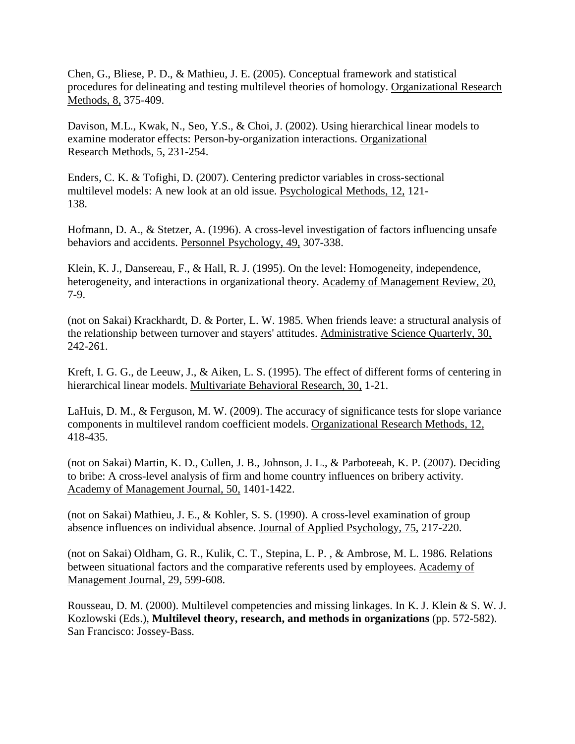Chen, G., Bliese, P. D., & Mathieu, J. E. (2005). Conceptual framework and statistical procedures for delineating and testing multilevel theories of homology. Organizational Research Methods, 8, 375-409.

Davison, M.L., Kwak, N., Seo, Y.S., & Choi, J. (2002). Using hierarchical linear models to examine moderator effects: Person-by-organization interactions. Organizational Research Methods, 5, 231-254.

Enders, C. K. & Tofighi, D. (2007). Centering predictor variables in cross-sectional multilevel models: A new look at an old issue. Psychological Methods, 12, 121- 138.

Hofmann, D. A., & Stetzer, A. (1996). A cross-level investigation of factors influencing unsafe behaviors and accidents. Personnel Psychology, 49, 307-338.

Klein, K. J., Dansereau, F., & Hall, R. J. (1995). On the level: Homogeneity, independence, heterogeneity, and interactions in organizational theory. Academy of Management Review, 20, 7-9.

(not on Sakai) Krackhardt, D. & Porter, L. W. 1985. When friends leave: a structural analysis of the relationship between turnover and stayers' attitudes. Administrative Science Quarterly, 30, 242-261.

Kreft, I. G. G., de Leeuw, J., & Aiken, L. S. (1995). The effect of different forms of centering in hierarchical linear models. Multivariate Behavioral Research, 30, 1-21.

LaHuis, D. M., & Ferguson, M. W. (2009). The accuracy of significance tests for slope variance components in multilevel random coefficient models. Organizational Research Methods, 12, 418-435.

(not on Sakai) Martin, K. D., Cullen, J. B., Johnson, J. L., & Parboteeah, K. P. (2007). Deciding to bribe: A cross-level analysis of firm and home country influences on bribery activity. Academy of Management Journal, 50, 1401-1422.

(not on Sakai) Mathieu, J. E., & Kohler, S. S. (1990). A cross-level examination of group absence influences on individual absence. Journal of Applied Psychology, 75, 217-220.

(not on Sakai) Oldham, G. R., Kulik, C. T., Stepina, L. P. , & Ambrose, M. L. 1986. Relations between situational factors and the comparative referents used by employees. Academy of Management Journal, 29, 599-608.

Rousseau, D. M. (2000). Multilevel competencies and missing linkages. In K. J. Klein & S. W. J. Kozlowski (Eds.), **Multilevel theory, research, and methods in organizations** (pp. 572-582). San Francisco: Jossey-Bass.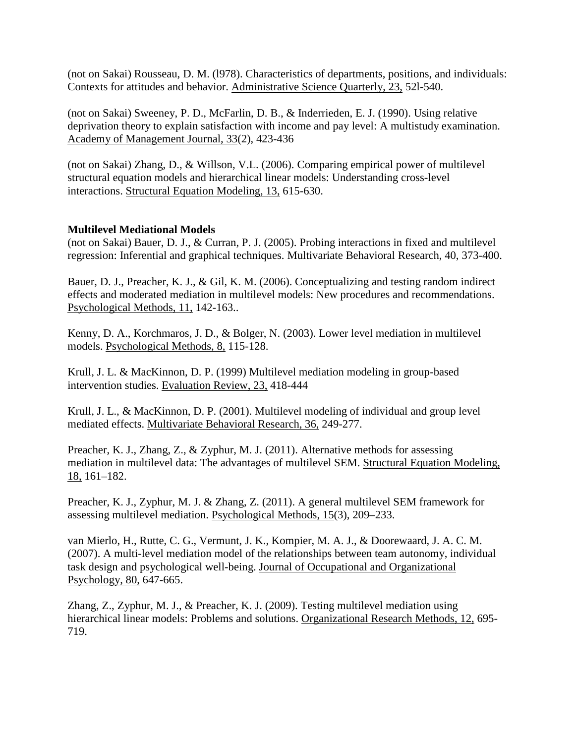(not on Sakai) Rousseau, D. M. (l978). Characteristics of departments, positions, and individuals: Contexts for attitudes and behavior. Administrative Science Quarterly, 23, 52l-540.

(not on Sakai) Sweeney, P. D., McFarlin, D. B., & Inderrieden, E. J. (1990). Using relative deprivation theory to explain satisfaction with income and pay level: A multistudy examination. Academy of Management Journal, 33(2), 423-436

(not on Sakai) Zhang, D., & Willson, V.L. (2006). Comparing empirical power of multilevel structural equation models and hierarchical linear models: Understanding cross-level interactions. Structural Equation Modeling, 13, 615-630.

# **Multilevel Mediational Models**

(not on Sakai) Bauer, D. J., & Curran, P. J. (2005). Probing interactions in fixed and multilevel regression: Inferential and graphical techniques. Multivariate Behavioral Research, 40, 373-400.

Bauer, D. J., Preacher, K. J., & Gil, K. M. (2006). Conceptualizing and testing random indirect effects and moderated mediation in multilevel models: New procedures and recommendations. Psychological Methods, 11, 142-163..

Kenny, D. A., Korchmaros, J. D., & Bolger, N. (2003). Lower level mediation in multilevel models. Psychological Methods, 8, 115-128.

Krull, J. L. & MacKinnon, D. P. (1999) Multilevel mediation modeling in group-based intervention studies. Evaluation Review, 23, 418-444

Krull, J. L., & MacKinnon, D. P. (2001). Multilevel modeling of individual and group level mediated effects. Multivariate Behavioral Research, 36, 249-277.

Preacher, K. J., Zhang, Z., & Zyphur, M. J. (2011). Alternative methods for assessing mediation in multilevel data: The advantages of multilevel SEM. Structural Equation Modeling, 18, 161–182.

Preacher, K. J., Zyphur, M. J. & Zhang, Z. (2011). A general multilevel SEM framework for assessing multilevel mediation. Psychological Methods, 15(3), 209–233.

van Mierlo, H., Rutte, C. G., Vermunt, J. K., Kompier, M. A. J., & Doorewaard, J. A. C. M. (2007). A multi-level mediation model of the relationships between team autonomy, individual task design and psychological well-being. Journal of Occupational and Organizational Psychology, 80, 647-665.

Zhang, Z., Zyphur, M. J., & Preacher, K. J. (2009). Testing multilevel mediation using hierarchical linear models: Problems and solutions. Organizational Research Methods, 12, 695- 719.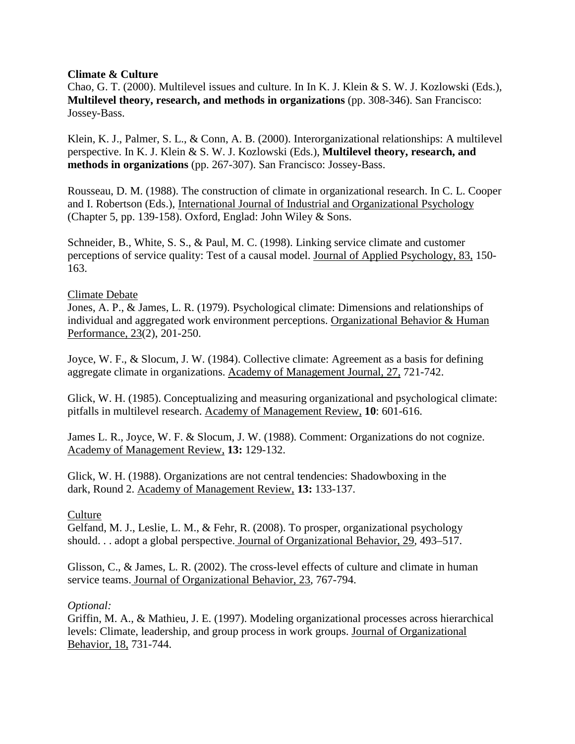## **Climate & Culture**

Chao, G. T. (2000). Multilevel issues and culture. In In K. J. Klein & S. W. J. Kozlowski (Eds.), **Multilevel theory, research, and methods in organizations** (pp. 308-346). San Francisco: Jossey-Bass.

Klein, K. J., Palmer, S. L., & Conn, A. B. (2000). Interorganizational relationships: A multilevel perspective. In K. J. Klein & S. W. J. Kozlowski (Eds.), **Multilevel theory, research, and methods in organizations** (pp. 267-307). San Francisco: Jossey-Bass.

Rousseau, D. M. (1988). The construction of climate in organizational research. In C. L. Cooper and I. Robertson (Eds.), International Journal of Industrial and Organizational Psychology (Chapter 5, pp. 139-158). Oxford, Englad: John Wiley & Sons.

Schneider, B., White, S. S., & Paul, M. C. (1998). Linking service climate and customer perceptions of service quality: Test of a causal model. Journal of Applied Psychology, 83, 150- 163.

## Climate Debate

Jones, A. P., & James, L. R. (1979). Psychological climate: Dimensions and relationships of individual and aggregated work environment perceptions. Organizational Behavior & Human Performance, 23(2), 201-250.

Joyce, W. F., & Slocum, J. W. (1984). Collective climate: Agreement as a basis for defining aggregate climate in organizations. Academy of Management Journal, 27, 721-742.

Glick, W. H. (1985). Conceptualizing and measuring organizational and psychological climate: pitfalls in multilevel research. Academy of Management Review, **10**: 601-616.

James L. R., Joyce, W. F. & Slocum, J. W. (1988). Comment: Organizations do not cognize. Academy of Management Review, **13:** 129-132.

Glick, W. H. (1988). Organizations are not central tendencies: Shadowboxing in the dark, Round 2. Academy of Management Review, **13:** 133-137.

### **Culture**

Gelfand, M. J., Leslie, L. M., & Fehr, R. (2008). To prosper, organizational psychology should. . . adopt a global perspective. Journal of Organizational Behavior, 29, 493–517.

Glisson, C., & James, L. R. (2002). The cross-level effects of culture and climate in human service teams. Journal of Organizational Behavior, 23, 767-794.

### *Optional:*

Griffin, M. A., & Mathieu, J. E. (1997). Modeling organizational processes across hierarchical levels: Climate, leadership, and group process in work groups. Journal of Organizational Behavior, 18, 731-744.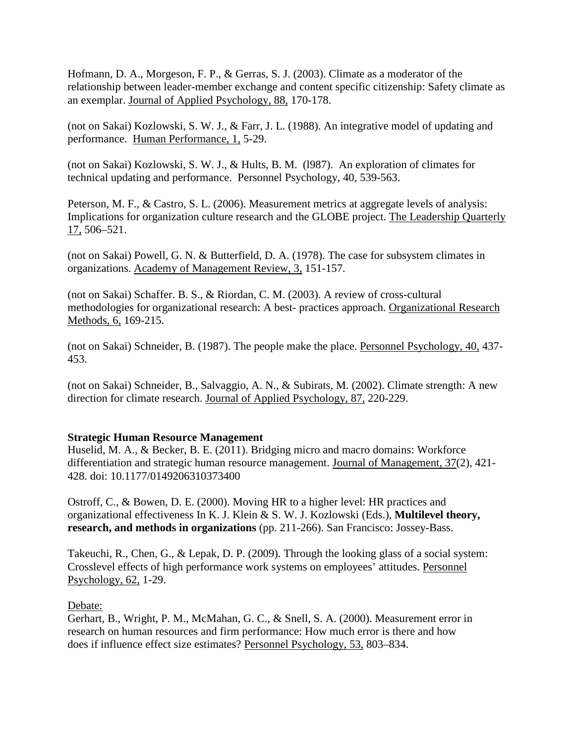Hofmann, D. A., Morgeson, F. P., & Gerras, S. J. (2003). Climate as a moderator of the relationship between leader-member exchange and content specific citizenship: Safety climate as an exemplar. Journal of Applied Psychology, 88, 170-178.

(not on Sakai) Kozlowski, S. W. J., & Farr, J. L. (1988). An integrative model of updating and performance. Human Performance, 1, 5-29.

(not on Sakai) Kozlowski, S. W. J., & Hults, B. M. (l987). An exploration of climates for technical updating and performance. Personnel Psychology, 40, 539-563.

Peterson, M. F., & Castro, S. L. (2006). Measurement metrics at aggregate levels of analysis: Implications for organization culture research and the GLOBE project. The Leadership Quarterly 17, 506–521.

(not on Sakai) Powell, G. N. & Butterfield, D. A. (1978). The case for subsystem climates in organizations. Academy of Management Review, 3, 151-157.

(not on Sakai) Schaffer. B. S., & Riordan, C. M. (2003). A review of cross-cultural methodologies for organizational research: A best- practices approach. Organizational Research Methods, 6, 169-215.

(not on Sakai) Schneider, B. (1987). The people make the place. Personnel Psychology, 40, 437- 453.

(not on Sakai) Schneider, B., Salvaggio, A. N., & Subirats, M. (2002). Climate strength: A new direction for climate research. Journal of Applied Psychology, 87, 220-229.

### **Strategic Human Resource Management**

Huselid, M. A., & Becker, B. E. (2011). Bridging micro and macro domains: Workforce differentiation and strategic human resource management. Journal of Management, 37(2), 421-428. doi: 10.1177/0149206310373400

Ostroff, C., & Bowen, D. E. (2000). Moving HR to a higher level: HR practices and organizational effectiveness In K. J. Klein & S. W. J. Kozlowski (Eds.), **Multilevel theory, research, and methods in organizations** (pp. 211-266). San Francisco: Jossey-Bass.

Takeuchi, R., Chen, G., & Lepak, D. P. (2009). Through the looking glass of a social system: Crosslevel effects of high performance work systems on employees' attitudes. Personnel Psychology, 62, 1-29.

Debate:

Gerhart, B., Wright, P. M., McMahan, G. C., & Snell, S. A. (2000). Measurement error in research on human resources and firm performance: How much error is there and how does if influence effect size estimates? Personnel Psychology, 53, 803–834.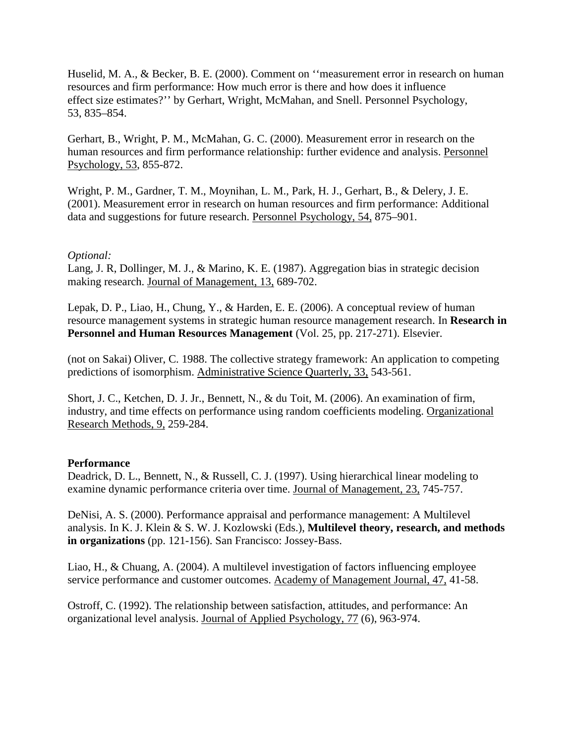Huselid, M. A., & Becker, B. E. (2000). Comment on ''measurement error in research on human resources and firm performance: How much error is there and how does it influence effect size estimates?'' by Gerhart, Wright, McMahan, and Snell. Personnel Psychology, 53, 835–854.

Gerhart, B., Wright, P. M., McMahan, G. C. (2000). Measurement error in research on the human resources and firm performance relationship: further evidence and analysis. Personnel Psychology, 53, 855-872.

Wright, P. M., Gardner, T. M., Moynihan, L. M., Park, H. J., Gerhart, B., & Delery, J. E. (2001). Measurement error in research on human resources and firm performance: Additional data and suggestions for future research. Personnel Psychology, 54, 875–901.

### *Optional:*

Lang, J. R, Dollinger, M. J., & Marino, K. E. (1987). Aggregation bias in strategic decision making research. Journal of Management, 13, 689-702.

Lepak, D. P., Liao, H., Chung, Y., & Harden, E. E. (2006). A conceptual review of human resource management systems in strategic human resource management research. In **Research in Personnel and Human Resources Management** (Vol. 25, pp. 217-271). Elsevier.

(not on Sakai) Oliver, C. 1988. The collective strategy framework: An application to competing predictions of isomorphism. Administrative Science Quarterly, 33, 543-561.

Short, J. C., Ketchen, D. J. Jr., Bennett, N., & du Toit, M. (2006). An examination of firm, industry, and time effects on performance using random coefficients modeling. Organizational Research Methods, 9, 259-284.

### **Performance**

Deadrick, D. L., Bennett, N., & Russell, C. J. (1997). Using hierarchical linear modeling to examine dynamic performance criteria over time. Journal of Management, 23, 745-757.

DeNisi, A. S. (2000). Performance appraisal and performance management: A Multilevel analysis. In K. J. Klein & S. W. J. Kozlowski (Eds.), **Multilevel theory, research, and methods in organizations** (pp. 121-156). San Francisco: Jossey-Bass.

Liao, H., & Chuang, A. (2004). A multilevel investigation of factors influencing employee service performance and customer outcomes. Academy of Management Journal, 47, 41-58.

Ostroff, C. (1992). The relationship between satisfaction, attitudes, and performance: An organizational level analysis. Journal of Applied Psychology, 77 (6), 963-974.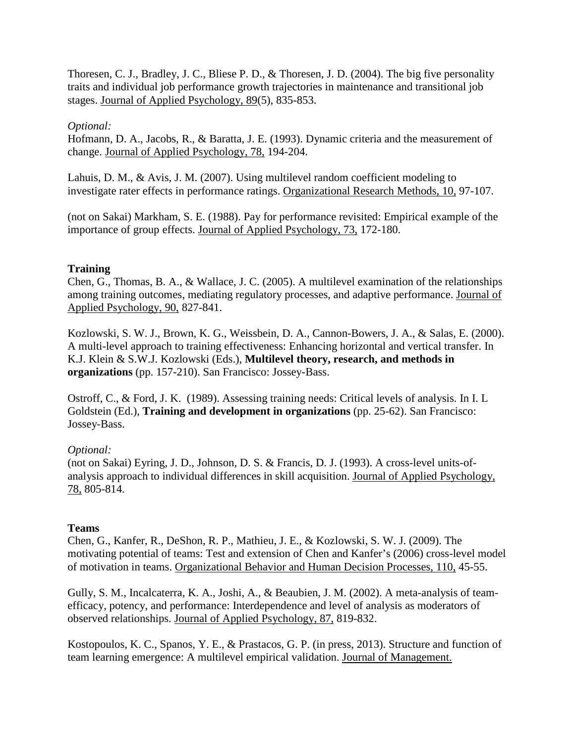Thoresen, C. J., Bradley, J. C., Bliese P. D., & Thoresen, J. D. (2004). The big five personality traits and individual job performance growth trajectories in maintenance and transitional job stages. Journal of Applied Psychology, 89(5), 835-853.

## *Optional:*

Hofmann, D. A., Jacobs, R., & Baratta, J. E. (1993). Dynamic criteria and the measurement of change. Journal of Applied Psychology, 78, 194-204.

Lahuis, D. M., & Avis, J. M. (2007). Using multilevel random coefficient modeling to investigate rater effects in performance ratings. Organizational Research Methods, 10, 97-107.

(not on Sakai) Markham, S. E. (1988). Pay for performance revisited: Empirical example of the importance of group effects. Journal of Applied Psychology, 73, 172-180.

## **Training**

Chen, G., Thomas, B. A., & Wallace, J. C. (2005). A multilevel examination of the relationships among training outcomes, mediating regulatory processes, and adaptive performance. Journal of Applied Psychology, 90, 827-841.

Kozlowski, S. W. J., Brown, K. G., Weissbein, D. A., Cannon-Bowers, J. A., & Salas, E. (2000). A multi-level approach to training effectiveness: Enhancing horizontal and vertical transfer. In K.J. Klein & S.W.J. Kozlowski (Eds.), **Multilevel theory, research, and methods in organizations** (pp. 157-210). San Francisco: Jossey-Bass.

Ostroff, C., & Ford, J. K. (1989). Assessing training needs: Critical levels of analysis. In I. L Goldstein (Ed.), **Training and development in organizations** (pp. 25-62). San Francisco: Jossey-Bass.

# *Optional:*

(not on Sakai) Eyring, J. D., Johnson, D. S. & Francis, D. J. (1993). A cross-level units-ofanalysis approach to individual differences in skill acquisition. Journal of Applied Psychology, 78, 805-814.

# **Teams**

Chen, G., Kanfer, R., DeShon, R. P., Mathieu, J. E., & Kozlowski, S. W. J. (2009). The motivating potential of teams: Test and extension of Chen and Kanfer's (2006) cross-level model of motivation in teams. Organizational Behavior and Human Decision Processes, 110, 45-55.

Gully, S. M., Incalcaterra, K. A., Joshi, A., & Beaubien, J. M. (2002). A meta-analysis of teamefficacy, potency, and performance: Interdependence and level of analysis as moderators of observed relationships. Journal of Applied Psychology, 87, 819-832.

Kostopoulos, K. C., Spanos, Y. E., & Prastacos, G. P. (in press, 2013). Structure and function of team learning emergence: A multilevel empirical validation. Journal of Management.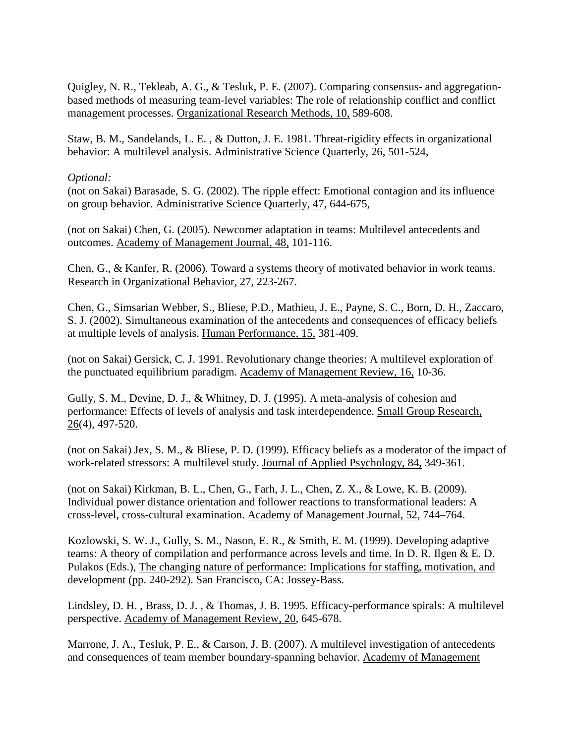Quigley, N. R., Tekleab, A. G., & Tesluk, P. E. (2007). Comparing consensus- and aggregationbased methods of measuring team-level variables: The role of relationship conflict and conflict management processes. Organizational Research Methods, 10, 589-608.

Staw, B. M., Sandelands, L. E. , & Dutton, J. E. 1981. Threat-rigidity effects in organizational behavior: A multilevel analysis. Administrative Science Quarterly, 26, 501-524,

### *Optional:*

(not on Sakai) Barasade, S. G. (2002). The ripple effect: Emotional contagion and its influence on group behavior. Administrative Science Quarterly, 47, 644-675,

(not on Sakai) Chen, G. (2005). Newcomer adaptation in teams: Multilevel antecedents and outcomes. Academy of Management Journal, 48, 101-116.

Chen, G., & Kanfer, R. (2006). Toward a systems theory of motivated behavior in work teams. Research in Organizational Behavior, 27, 223-267.

Chen, G., Simsarian Webber, S., Bliese, P.D., Mathieu, J. E., Payne, S. C., Born, D. H., Zaccaro, S. J. (2002). Simultaneous examination of the antecedents and consequences of efficacy beliefs at multiple levels of analysis. Human Performance, 15, 381-409.

(not on Sakai) Gersick, C. J. 1991. Revolutionary change theories: A multilevel exploration of the punctuated equilibrium paradigm. Academy of Management Review, 16, 10-36.

Gully, S. M., Devine, D. J., & Whitney, D. J. (1995). A meta-analysis of cohesion and performance: Effects of levels of analysis and task interdependence. Small Group Research, 26(4), 497-520.

(not on Sakai) Jex, S. M., & Bliese, P. D. (1999). Efficacy beliefs as a moderator of the impact of work-related stressors: A multilevel study. Journal of Applied Psychology, 84, 349-361.

(not on Sakai) Kirkman, B. L., Chen, G., Farh, J. L., Chen, Z. X., & Lowe, K. B. (2009). Individual power distance orientation and follower reactions to transformational leaders: A cross-level, cross-cultural examination. Academy of Management Journal, 52, 744–764.

Kozlowski, S. W. J., Gully, S. M., Nason, E. R., & Smith, E. M. (1999). Developing adaptive teams: A theory of compilation and performance across levels and time. In D. R. Ilgen & E. D. Pulakos (Eds.), The changing nature of performance: Implications for staffing, motivation, and development (pp. 240-292). San Francisco, CA: Jossey-Bass.

Lindsley, D. H. , Brass, D. J. , & Thomas, J. B. 1995. Efficacy-performance spirals: A multilevel perspective. Academy of Management Review, 20, 645-678.

Marrone, J. A., Tesluk, P. E., & Carson, J. B. (2007). A multilevel investigation of antecedents and consequences of team member boundary-spanning behavior. Academy of Management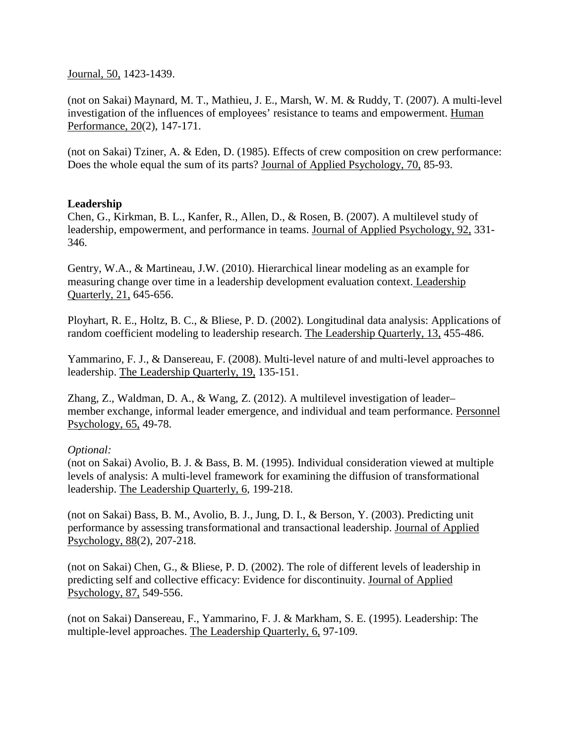Journal, 50, 1423-1439.

(not on Sakai) Maynard, M. T., Mathieu, J. E., Marsh, W. M. & Ruddy, T. (2007). A multi-level investigation of the influences of employees' resistance to teams and empowerment. Human Performance, 20(2), 147-171.

(not on Sakai) Tziner, A. & Eden, D. (1985). Effects of crew composition on crew performance: Does the whole equal the sum of its parts? Journal of Applied Psychology, 70, 85-93.

## **Leadership**

Chen, G., Kirkman, B. L., Kanfer, R., Allen, D., & Rosen, B. (2007). A multilevel study of leadership, empowerment, and performance in teams. Journal of Applied Psychology, 92, 331- 346.

Gentry, W.A., & Martineau, J.W. (2010). Hierarchical linear modeling as an example for measuring change over time in a leadership development evaluation context. Leadership Quarterly, 21, 645-656.

Ployhart, R. E., Holtz, B. C., & Bliese, P. D. (2002). Longitudinal data analysis: Applications of random coefficient modeling to leadership research. The Leadership Quarterly, 13, 455-486.

Yammarino, F. J., & Dansereau, F. (2008). Multi-level nature of and multi-level approaches to leadership. The Leadership Quarterly, 19, 135-151.

Zhang, Z., Waldman, D. A., & Wang, Z. (2012). A multilevel investigation of leader– member exchange, informal leader emergence, and individual and team performance. Personnel Psychology, 65, 49-78.

### *Optional:*

(not on Sakai) Avolio, B. J. & Bass, B. M. (1995). Individual consideration viewed at multiple levels of analysis: A multi-level framework for examining the diffusion of transformational leadership. The Leadership Quarterly, 6, 199-218.

(not on Sakai) Bass, B. M., Avolio, B. J., Jung, D. I., & Berson, Y. (2003). Predicting unit performance by assessing transformational and transactional leadership. Journal of Applied Psychology, 88(2), 207-218.

(not on Sakai) Chen, G., & Bliese, P. D. (2002). The role of different levels of leadership in predicting self and collective efficacy: Evidence for discontinuity. Journal of Applied Psychology, 87, 549-556.

(not on Sakai) Dansereau, F., Yammarino, F. J. & Markham, S. E. (1995). Leadership: The multiple-level approaches. The Leadership Quarterly, 6, 97-109.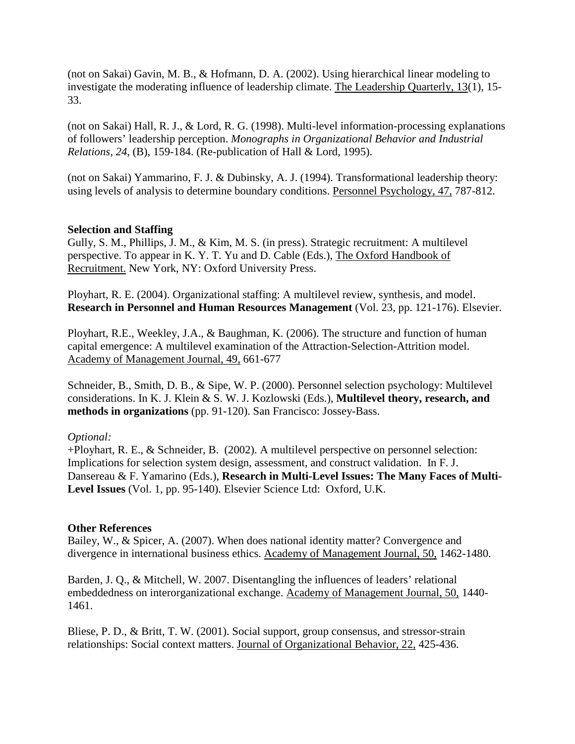(not on Sakai) Gavin, M. B., & Hofmann, D. A. (2002). Using hierarchical linear modeling to investigate the moderating influence of leadership climate. The Leadership Quarterly, 13(1), 15- 33.

(not on Sakai) Hall, R. J., & Lord, R. G. (1998). Multi-level information-processing explanations of followers' leadership perception. *Monographs in Organizational Behavior and Industrial Relations, 24*, (B), 159-184. (Re-publication of Hall & Lord, 1995).

(not on Sakai) Yammarino, F. J. & Dubinsky, A. J. (1994). Transformational leadership theory: using levels of analysis to determine boundary conditions. Personnel Psychology, 47, 787-812.

## **Selection and Staffing**

Gully, S. M., Phillips, J. M., & Kim, M. S. (in press). Strategic recruitment: A multilevel perspective. To appear in K. Y. T. Yu and D. Cable (Eds.), The Oxford Handbook of Recruitment. New York, NY: Oxford University Press.

Ployhart, R. E. (2004). Organizational staffing: A multilevel review, synthesis, and model. **Research in Personnel and Human Resources Management** (Vol. 23, pp. 121-176). Elsevier.

Ployhart, R.E., Weekley, J.A., & Baughman, K. (2006). The structure and function of human capital emergence: A multilevel examination of the Attraction-Selection-Attrition model. Academy of Management Journal, 49, 661-677

Schneider, B., Smith, D. B., & Sipe, W. P. (2000). Personnel selection psychology: Multilevel considerations. In K. J. Klein & S. W. J. Kozlowski (Eds.), **Multilevel theory, research, and methods in organizations** (pp. 91-120). San Francisco: Jossey-Bass.

### *Optional:*

+Ployhart, R. E., & Schneider, B. (2002). A multilevel perspective on personnel selection: Implications for selection system design, assessment, and construct validation. In F. J. Dansereau & F. Yamarino (Eds.), **Research in Multi-Level Issues: The Many Faces of Multi-Level Issues** (Vol. 1, pp. 95-140). Elsevier Science Ltd: Oxford, U.K.

### **Other References**

Bailey, W., & Spicer, A. (2007). When does national identity matter? Convergence and divergence in international business ethics. Academy of Management Journal, 50, 1462-1480.

Barden, J. Q., & Mitchell, W. 2007. Disentangling the influences of leaders' relational embeddedness on interorganizational exchange. Academy of Management Journal, 50, 1440- 1461.

Bliese, P. D., & Britt, T. W. (2001). Social support, group consensus, and stressor-strain relationships: Social context matters. Journal of Organizational Behavior, 22, 425-436.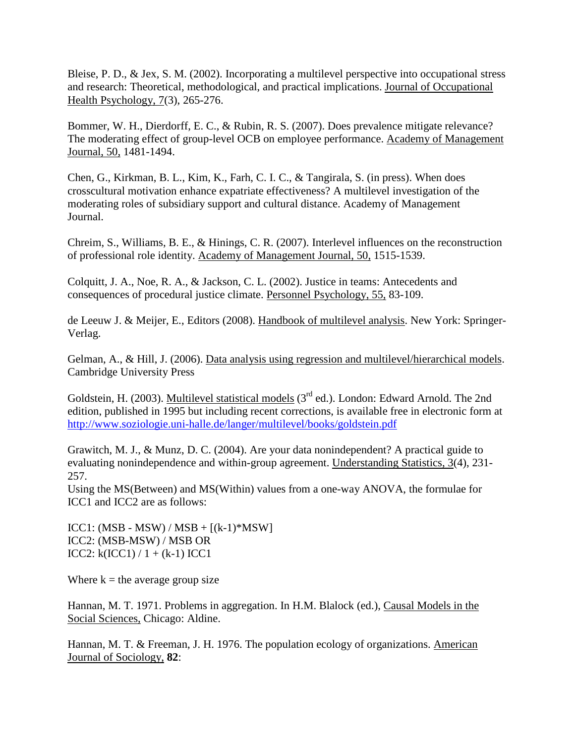Bleise, P. D., & Jex, S. M. (2002). Incorporating a multilevel perspective into occupational stress and research: Theoretical, methodological, and practical implications. Journal of Occupational Health Psychology, 7(3), 265-276.

Bommer, W. H., Dierdorff, E. C., & Rubin, R. S. (2007). Does prevalence mitigate relevance? The moderating effect of group-level OCB on employee performance. Academy of Management Journal, 50, 1481-1494.

Chen, G., Kirkman, B. L., Kim, K., Farh, C. I. C., & Tangirala, S. (in press). When does crosscultural motivation enhance expatriate effectiveness? A multilevel investigation of the moderating roles of subsidiary support and cultural distance. Academy of Management Journal.

Chreim, S., Williams, B. E., & Hinings, C. R. (2007). Interlevel influences on the reconstruction of professional role identity. Academy of Management Journal, 50, 1515-1539.

Colquitt, J. A., Noe, R. A., & Jackson, C. L. (2002). Justice in teams: Antecedents and consequences of procedural justice climate. Personnel Psychology, 55, 83-109.

de Leeuw J. & Meijer, E., Editors (2008). Handbook of multilevel analysis. New York: Springer-Verlag.

Gelman, A., & Hill, J. (2006). Data analysis using regression and multilevel/hierarchical models. Cambridge University Press

Goldstein, H. (2003). Multilevel statistical models  $(3<sup>rd</sup>$  ed.). London: Edward Arnold. The 2nd edition, published in 1995 but including recent corrections, is available free in electronic form at <http://www.soziologie.uni-halle.de/langer/multilevel/books/goldstein.pdf>

Grawitch, M. J., & Munz, D. C. (2004). Are your data nonindependent? A practical guide to evaluating nonindependence and within-group agreement. Understanding Statistics, 3(4), 231- 257.

Using the MS(Between) and MS(Within) values from a one-way ANOVA, the formulae for ICC1 and ICC2 are as follows:

ICC1: (MSB - MSW) / MSB +  $[(k-1)*MSW]$ ICC2: (MSB-MSW) / MSB OR ICC2:  $k(ICC1) / 1 + (k-1) ICC1$ 

Where  $k =$  the average group size

Hannan, M. T. 1971. Problems in aggregation. In H.M. Blalock (ed.), Causal Models in the Social Sciences, Chicago: Aldine.

Hannan, M. T. & Freeman, J. H. 1976. The population ecology of organizations. American Journal of Sociology, **82**: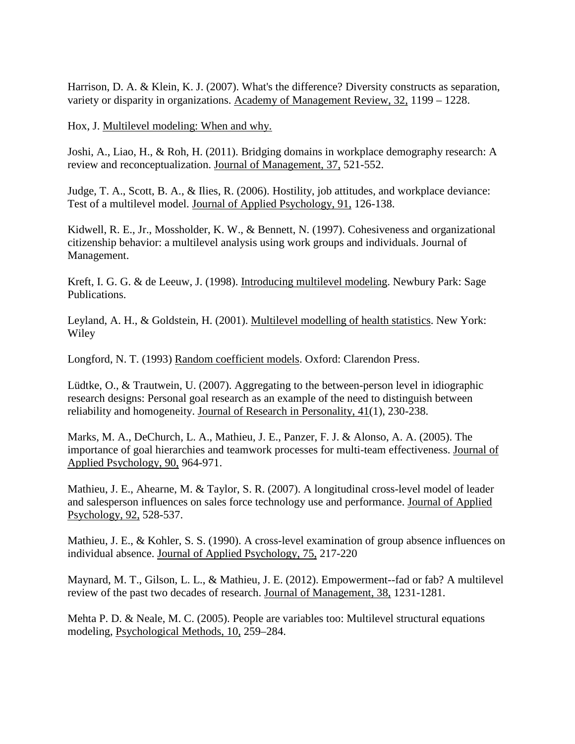Harrison, D. A. & Klein, K. J. (2007). What's the difference? Diversity constructs as separation, variety or disparity in organizations. Academy of Management Review, 32, 1199 – 1228.

Hox, J. Multilevel modeling: When and why.

Joshi, A., Liao, H., & Roh, H. (2011). Bridging domains in workplace demography research: A review and reconceptualization. Journal of Management, 37, 521-552.

Judge, T. A., Scott, B. A., & Ilies, R. (2006). Hostility, job attitudes, and workplace deviance: Test of a multilevel model. Journal of Applied Psychology, 91, 126-138.

Kidwell, R. E., Jr., Mossholder, K. W., & Bennett, N. (1997). Cohesiveness and organizational citizenship behavior: a multilevel analysis using work groups and individuals. Journal of Management.

Kreft, I. G. G. & de Leeuw, J. (1998). Introducing multilevel modeling. Newbury Park: Sage Publications.

Leyland, A. H., & Goldstein, H. (2001). Multilevel modelling of health statistics. New York: Wiley

Longford, N. T. (1993) Random coefficient models. Oxford: Clarendon Press.

Lüdtke, O., & Trautwein, U. (2007). Aggregating to the between-person level in idiographic research designs: Personal goal research as an example of the need to distinguish between reliability and homogeneity. Journal of Research in Personality, 41(1), 230-238.

Marks, M. A., DeChurch, L. A., Mathieu, J. E., Panzer, F. J. & Alonso, A. A. (2005). The importance of goal hierarchies and teamwork processes for multi-team effectiveness. Journal of Applied Psychology, 90, 964-971.

Mathieu, J. E., Ahearne, M. & Taylor, S. R. (2007). A longitudinal cross-level model of leader and salesperson influences on sales force technology use and performance. Journal of Applied Psychology, 92, 528-537.

Mathieu, J. E., & Kohler, S. S. (1990). A cross-level examination of group absence influences on individual absence. Journal of Applied Psychology, 75, 217-220

Maynard, M. T., Gilson, L. L., & Mathieu, J. E. (2012). Empowerment--fad or fab? A multilevel review of the past two decades of research. Journal of Management, 38, 1231-1281.

Mehta P. D. & Neale, M. C. (2005). People are variables too: Multilevel structural equations modeling, Psychological Methods, 10, 259–284.